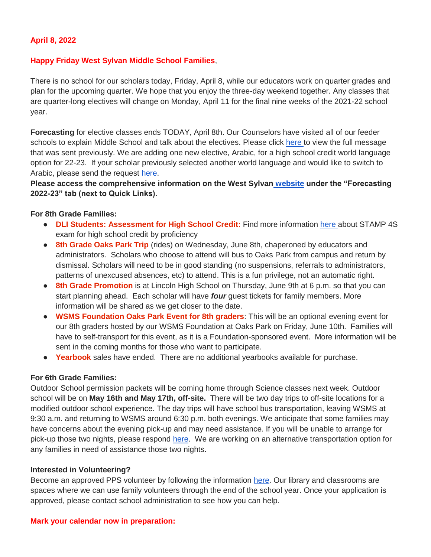### **April 8, 2022**

#### **Happy Friday West Sylvan Middle School Families**,

There is no school for our scholars today, Friday, April 8, while our educators work on quarter grades and plan for the upcoming quarter. We hope that you enjoy the three-day weekend together. Any classes that are quarter-long electives will change on Monday, April 11 for the final nine weeks of the 2021-22 school year.

**Forecasting** for elective classes ends TODAY, April 8th. Our Counselors have visited all of our feeder schools to explain Middle School and talk about the electives. Please click [here t](https://docs.google.com/document/d/105XXx6Z7Qz5ui7o-kmTNqqa7cryFH5nBhyOaNz_PNsY/edit?usp=sharing)o view the full message that was sent previously. We are adding one new elective, Arabic, for a high school credit world language option for 22-23. If your scholar previously selected another world language and would like to switch to Arabic, please send the request [here.](https://forms.gle/FGZ4DrqpcA72Z7sk6)

**Please access the comprehensive information on the West Sylvan [website](https://www.pps.net/westsylvan) under the "Forecasting 2022-23" tab (next to Quick Links).**

#### **For 8th Grade Families:**

- **DLI Students: Assessment for High School Credit:** Find more information [here a](https://drive.google.com/file/d/1EeZ3Y6-uuLBacqSHYPVdzJhmDA20NHY9/view?usp=sharing)bout STAMP 4S exam for high school credit by proficiency
- **8th Grade Oaks Park Trip** (rides) on Wednesday, June 8th, chaperoned by educators and administrators. Scholars who choose to attend will bus to Oaks Park from campus and return by dismissal. Scholars will need to be in good standing (no suspensions, referrals to administrators, patterns of unexcused absences, etc) to attend. This is a fun privilege, not an automatic right.
- **8th Grade Promotion** is at Lincoln High School on Thursday, June 9th at 6 p.m. so that you can start planning ahead. Each scholar will have *four* guest tickets for family members. More information will be shared as we get closer to the date.
- **WSMS Foundation Oaks Park Event for 8th graders**: This will be an optional evening event for our 8th graders hosted by our WSMS Foundation at Oaks Park on Friday, June 10th. Families will have to self-transport for this event, as it is a Foundation-sponsored event. More information will be sent in the coming months for those who want to participate.
- **Yearbook** sales have ended. There are no additional yearbooks available for purchase.

#### **For 6th Grade Families:**

Outdoor School permission packets will be coming home through Science classes next week. Outdoor school will be on **May 16th and May 17th, off-site.** There will be two day trips to off-site locations for a modified outdoor school experience. The day trips will have school bus transportation, leaving WSMS at 9:30 a.m. and returning to WSMS around 6:30 p.m. both evenings. We anticipate that some families may have concerns about the evening pick-up and may need assistance. If you will be unable to arrange for pick-up those two nights, please respond [here.](https://forms.gle/hy6fptsqA3aFjc1Z8) We are working on an alternative transportation option for any families in need of assistance those two nights.

#### **Interested in Volunteering?**

Become an approved PPS volunteer by following the information [here.](https://www.pps.net/volunteer) Our library and classrooms are spaces where we can use family volunteers through the end of the school year. Once your application is approved, please contact school administration to see how you can help.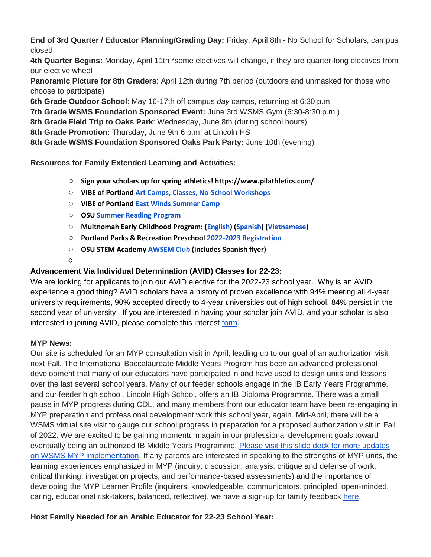**End of 3rd Quarter / Educator Planning/Grading Day:** Friday, April 8th - No School for Scholars, campus closed

**4th Quarter Begins:** Monday, April 11th \*some electives will change, if they are quarter-long electives from our elective wheel

**Panoramic Picture for 8th Graders**: April 12th during 7th period (outdoors and unmasked for those who choose to participate)

**6th Grade Outdoor School**: May 16-17th off campus *day* camps, returning at 6:30 p.m.

**7th Grade WSMS Foundation Sponsored Event:** June 3rd WSMS Gym (6:30-8:30 p.m.)

**8th Grade Field Trip to Oaks Park**: Wednesday, June 8th (during school hours)

**8th Grade Promotion:** Thursday, June 9th 6 p.m. at Lincoln HS

**8th Grade WSMS Foundation Sponsored Oaks Park Party:** June 10th (evening)

**Resources for Family Extended Learning and Activities:**

- **Sign your scholars up for spring athletics! https://www.pilathletics.com/**
- **VIBE of Portland [Art Camps, Classes, No-School Workshops](https://www.pps.net/cms/lib/OR01913224/Centricity/Domain/254/VIBE.jpeg)**
- **VIBE of Portland [East Winds Summer Camp](https://www.pps.net/cms/lib/OR01913224/Centricity/Domain/254/VIBE-east_winds_2022.jpeg)**
- **OSU [Summer Reading Program](https://www.pps.net/cms/lib/OR01913224/Centricity/Domain/254/OSU-reading-summer-2022.pdf)**
- **Multnomah Early Childhood Program: [\(English\)](https://www.pps.net/cms/lib/OR01913224/Centricity/Domain/254/MECP-2021-22-PEER-Flyer-English.pdf) [\(Spanish\)](https://www.pps.net/cms/lib/OR01913224/Centricity/Domain/254/MECP-2021-22-PEER-Flyer-Spanish.pdf) [\(Vietnamese\)](https://www.pps.net/cms/lib/OR01913224/Centricity/Domain/254/MECP-2021-22-PEER-Flyer-Vietnamese.pdf)**
- **Portland Parks & Recreation Preschool [2022-2023 Registration](https://www.pps.net/cms/lib/OR01913224/Centricity/Domain/254/PPR-Preschool-22-23-price-sheet.pdf)**
- **OSU STEM Academy [AWSEM](https://www.pps.net/cms/lib/OR01913224/Centricity/Domain/254/AWSEM_Flyer_Combined_General.pdf) [Club](https://www.pps.net/cms/lib/OR01913224/Centricity/Domain/254/AWSEM_Flyer_Combined_General.pdf) (includes Spanish flyer)**

○

# **Advancement Via Individual Determination (AVID) Classes for 22-23:**

We are looking for applicants to join our AVID elective for the 2022-23 school year. Why is an AVID experience a good thing? AVID scholars have a history of proven excellence with 94% meeting all 4-year university requirements, 90% accepted directly to 4-year universities out of high school, 84% persist in the second year of university. If you are interested in having your scholar join AVID, and your scholar is also interested in joining AVID, please complete this interest [form.](https://docs.google.com/forms/d/e/1FAIpQLSdpPNrTbbG1YoO1o0bwfKFg3SDu-UarWp5LE59aNPm0xsaCQg/viewform?usp=sf_link)

## **MYP News:**

Our site is scheduled for an MYP consultation visit in April, leading up to our goal of an authorization visit next Fall. The International Baccalaureate Middle Years Program has been an advanced professional development that many of our educators have participated in and have used to design units and lessons over the last several school years. Many of our feeder schools engage in the IB Early Years Programme, and our feeder high school, Lincoln High School, offers an IB Diploma Programme. There was a small pause in MYP progress during CDL, and many members from our educator team have been re-engaging in MYP preparation and professional development work this school year, again. Mid-April, there will be a WSMS virtual site visit to gauge our school progress in preparation for a proposed authorization visit in Fall of 2022. We are excited to be gaining momentum again in our professional development goals toward eventually being an authorized IB Middle Years Programme. [Please visit this slide deck for more updates](https://docs.google.com/presentation/d/17SY-I5PfW5t18hZZ0ELhA85-iVSoBrj6_zKBGUaFTP8/edit?usp=sharing)  [on WSMS MYP implementation.](https://docs.google.com/presentation/d/17SY-I5PfW5t18hZZ0ELhA85-iVSoBrj6_zKBGUaFTP8/edit?usp=sharing) If any parents are interested in speaking to the strengths of MYP units, the learning experiences emphasized in MYP (inquiry, discussion, analysis, critique and defense of work, critical thinking, investigation projects, and performance-based assessments) and the importance of developing the MYP Learner Profile (inquirers, knowledgeable, communicators, principled, open-minded, caring, educational risk-takers, balanced, reflective), we have a sign-up for family feedback [here.](https://forms.gle/W5Cf7uwHptwe1jbh6)

# **Host Family Needed for an Arabic Educator for 22-23 School Year:**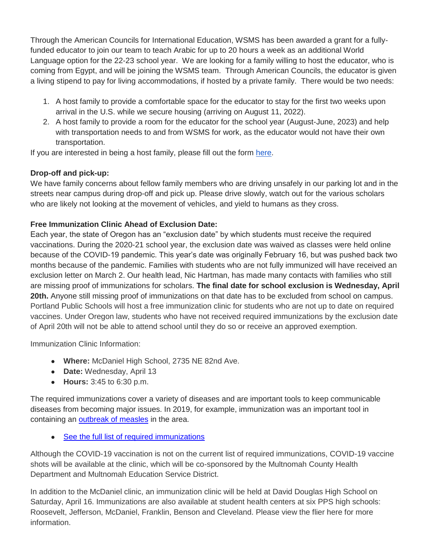Through the American Councils for International Education, WSMS has been awarded a grant for a fullyfunded educator to join our team to teach Arabic for up to 20 hours a week as an additional World Language option for the 22-23 school year. We are looking for a family willing to host the educator, who is coming from Egypt, and will be joining the WSMS team. Through American Councils, the educator is given a living stipend to pay for living accommodations, if hosted by a private family. There would be two needs:

- 1. A host family to provide a comfortable space for the educator to stay for the first two weeks upon arrival in the U.S. while we secure housing (arriving on August 11, 2022).
- 2. A host family to provide a room for the educator for the school year (August-June, 2023) and help with transportation needs to and from WSMS for work, as the educator would not have their own transportation.

If you are interested in being a host family, please fill out the form [here.](https://forms.gle/Ljte5CwpWQZtUZCN6)

# **Drop-off and pick-up:**

We have family concerns about fellow family members who are driving unsafely in our parking lot and in the streets near campus during drop-off and pick up. Please drive slowly, watch out for the various scholars who are likely not looking at the movement of vehicles, and yield to humans as they cross.

# **Free Immunization Clinic Ahead of Exclusion Date:**

Each year, the state of Oregon has an "exclusion date" by which students must receive the required vaccinations. During the 2020-21 school year, the exclusion date was waived as classes were held online because of the COVID-19 pandemic. This year's date was originally February 16, but was pushed back two months because of the pandemic. Families with students who are not fully immunized will have received an exclusion letter on March 2. Our health lead, Nic Hartman, has made many contacts with families who still are missing proof of immunizations for scholars. **The final date for school exclusion is Wednesday, April 20th.** Anyone still missing proof of immunizations on that date has to be excluded from school on campus. Portland Public Schools will host a free immunization clinic for students who are not up to date on required vaccines. Under Oregon law, students who have not received required immunizations by the exclusion date of April 20th will not be able to attend school until they do so or receive an approved exemption.

Immunization Clinic Information:

- **Where:** McDaniel High School, 2735 NE 82nd Ave.
- **Date:** Wednesday, April 13
- **Hours:** 3:45 to 6:30 p.m.

The required immunizations cover a variety of diseases and are important tools to keep communicable diseases from becoming major issues. In 2019, for example, immunization was an important tool in containing an [outbreak of measles](http://track.spe.schoolmessenger.com/f/a/qMr8WQ6Zy3tAnlfLuQ2uzA~~/AAAAAQA~/RgRkLhhBP0TZaHR0cHM6Ly93d3cucHBzLm5ldC9zaXRlL2RlZmF1bHQuYXNweD9QYWdlVHlwZT0zJkRvbWFpbklEPTk4Jk1vZHVsZUluc3RhbmNlSUQ9MTQ5MiZQYWdlTW9kdWxlSW5zdGFuY2VJRD04OTg2JlZpZXdJRD1hZDRkNmQ5ZC03MDQ2LTQ4ZTctYTU0OC1hNmEyM2E2OGQwNzYmUmVuZGVyTG9jPTAmRmxleERhdGFJRD0xNDM0MzkmUGFnZUlEPTI5NyZJc01vcmVFeHBhbmRlZFZpZXc9VHJ1ZVcHc2Nob29sbUIKYkvB5ExiJXUwPlIQa2Nyb21iaWVAcHBzLm5ldFgEAAAAAQ~~) in the area.

• [See the full list of required immunizations](http://track.spe.schoolmessenger.com/f/a/M0IGnqN1aEp_2d0z2eY96A~~/AAAAAQA~/RgRkLhhBP0RKaHR0cHM6Ly93d3cucHBzLm5ldC9jbXMvbGliL09SMDE5MTMyMjQvQ2VudHJpY2l0eS9Eb21haW4vNC9TY2hCdXNFbmcyMS5wZGZXB3NjaG9vbG1CCmJLweRMYiV1MD5SEGtjcm9tYmllQHBwcy5uZXRYBAAAAAE~)

Although the COVID-19 vaccination is not on the current list of required immunizations, COVID-19 vaccine shots will be available at the clinic, which will be co-sponsored by the Multnomah County Health Department and Multnomah Education Service District.

In addition to the McDaniel clinic, an immunization clinic will be held at David Douglas High School on Saturday, April 16. Immunizations are also available at student health centers at six PPS high schools: Roosevelt, Jefferson, McDaniel, Franklin, Benson and Cleveland. Please view the flier here for more information.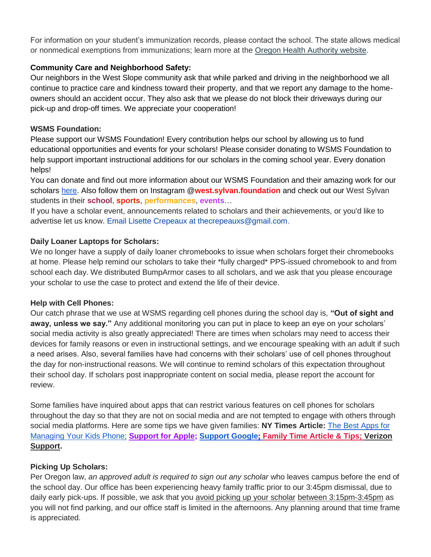For information on your student's immunization records, please contact the school. The state allows medical or nonmedical exemptions from immunizations; learn more at the [Oregon Health Authority website.](http://track.spe.schoolmessenger.com/f/a/p1GVFXiYXC5HLE8_bbv2gg~~/AAAAAQA~/RgRkLhhBP0RuaHR0cHM6Ly93d3cub3JlZ29uLmdvdi9vaGEvUEgvUFJFVkVOVElPTldFTExORVNTL1ZBQ0NJTkVTSU1NVU5JWkFUSU9OL0dFVFRJTkdJTU1VTklaRUQvUGFnZXMvU2NoRXhlbXB0aW9uLmFzcHhXB3NjaG9vbG1CCmJLweRMYiV1MD5SEGtjcm9tYmllQHBwcy5uZXRYBAAAAAE~)

## **Community Care and Neighborhood Safety:**

Our neighbors in the West Slope community ask that while parked and driving in the neighborhood we all continue to practice care and kindness toward their property, and that we report any damage to the homeowners should an accident occur. They also ask that we please do not block their driveways during our pick-up and drop-off times. We appreciate your cooperation!

## **WSMS Foundation:**

Please support our WSMS Foundation! Every contribution helps our school by allowing us to fund educational opportunities and events for your scholars! Please consider donating to WSMS Foundation to help support important instructional additions for our scholars in the coming school year. Every donation helps!

You can donate and find out more information about our WSMS Foundation and their amazing work for our scholars [here.](https://www.westsylvanfoundation.com/) Also follow them on Instagram @**west.sylvan.foundation** and check out our West Sylvan students in their **school**, **sports**, **performances**, **events**…

If you have a scholar event, announcements related to scholars and their achievements, or you'd like to advertise let us know. Email Lisette Crepeaux at thecrepeauxs@gmail.com.

## **Daily Loaner Laptops for Scholars:**

We no longer have a supply of daily loaner chromebooks to issue when scholars forget their chromebooks at home. Please help remind our scholars to take their \*fully charged\* PPS-issued chromebook to and from school each day. We distributed BumpArmor cases to all scholars, and we ask that you please encourage your scholar to use the case to protect and extend the life of their device.

## **Help with Cell Phones:**

Our catch phrase that we use at WSMS regarding cell phones during the school day is, **"Out of sight and away, unless we say."** Any additional monitoring you can put in place to keep an eye on your scholars' social media activity is also greatly appreciated! There are times when scholars may need to access their devices for family reasons or even in instructional settings, and we encourage speaking with an adult if such a need arises. Also, several families have had concerns with their scholars' use of cell phones throughout the day for non-instructional reasons. We will continue to remind scholars of this expectation throughout their school day. If scholars post inappropriate content on social media, please report the account for review.

Some families have inquired about apps that can restrict various features on cell phones for scholars throughout the day so that they are not on social media and are not tempted to engage with others through social media platforms. Here are some tips we have given families: **NY Times Article:** [The Best Apps for](https://www.nytimes.com/wirecutter/reviews/best-apps-to-manage-your-kids-phone/)  [Managing Your Kids Phone;](https://www.nytimes.com/wirecutter/reviews/best-apps-to-manage-your-kids-phone/) **[Support for Apple;](https://support.apple.com/guide/iphone/set-up-parental-controls-iph00ba7d632/ios) [Support Google](https://support.google.com/families/answer/7103340?hl=en)[;](https://familytime.io/) [Family Time Article & Tips;](https://familytime.io/) [Verizon](https://www.verizon.com/support/verizon-smart-family-restrictions-video/)  [Support.](https://www.verizon.com/support/verizon-smart-family-restrictions-video/)** 

# **Picking Up Scholars:**

Per Oregon law, *an approved adult is required to sign out any scholar* who leaves campus before the end of the school day. Our office has been experiencing heavy family traffic prior to our 3:45pm dismissal, due to daily early pick-ups. If possible, we ask that you avoid picking up your scholar between 3:15pm-3:45pm as you will not find parking, and our office staff is limited in the afternoons. Any planning around that time frame is appreciated.